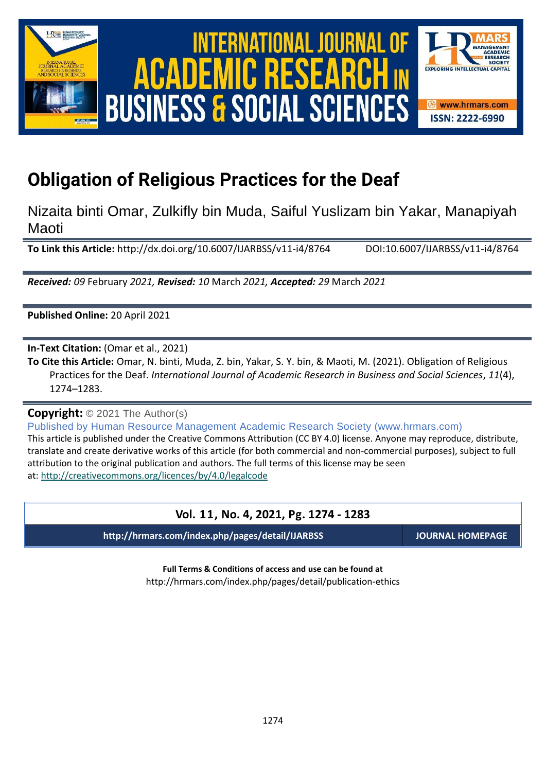

International Journal of Academic Research in Business and Social Sciences **Vol. 1 1 , No. 4, 2021, E-ISSN: 2222-6990 © 2021 HRMARS** ACADEMIC **BUSINESS & SOCIAL SCIENCES** 



# **Obligation of Religious Practices for the Deaf**

Nizaita binti Omar, Zulkifly bin Muda, Saiful Yuslizam bin Yakar, Manapiyah Maoti

**To Link this Article:** http://dx.doi.org/10.6007/IJARBSS/v11-i4/8764 DOI:10.6007/IJARBSS/v11-i4/8764

*Received: 09* February *2021, Revised: 10* March *2021, Accepted: 29* March *2021*

**Published Online:** 20 April 2021

**In-Text Citation:** (Omar et al., 2021)

**To Cite this Article:** Omar, N. binti, Muda, Z. bin, Yakar, S. Y. bin, & Maoti, M. (2021). Obligation of Religious Practices for the Deaf. *International Journal of Academic Research in Business and Social Sciences*, *11*(4), 1274–1283.

**Copyright:** © 2021 The Author(s)

Published by Human Resource Management Academic Research Society (www.hrmars.com)

This article is published under the Creative Commons Attribution (CC BY 4.0) license. Anyone may reproduce, distribute, translate and create derivative works of this article (for both commercial and non-commercial purposes), subject to full attribution to the original publication and authors. The full terms of this license may be seen at: <http://creativecommons.org/licences/by/4.0/legalcode>

# **Vol. 11, No. 4, 2021, Pg. 1274 - 1283**

**http://hrmars.com/index.php/pages/detail/IJARBSS JOURNAL HOMEPAGE**

**Full Terms & Conditions of access and use can be found at** http://hrmars.com/index.php/pages/detail/publication-ethics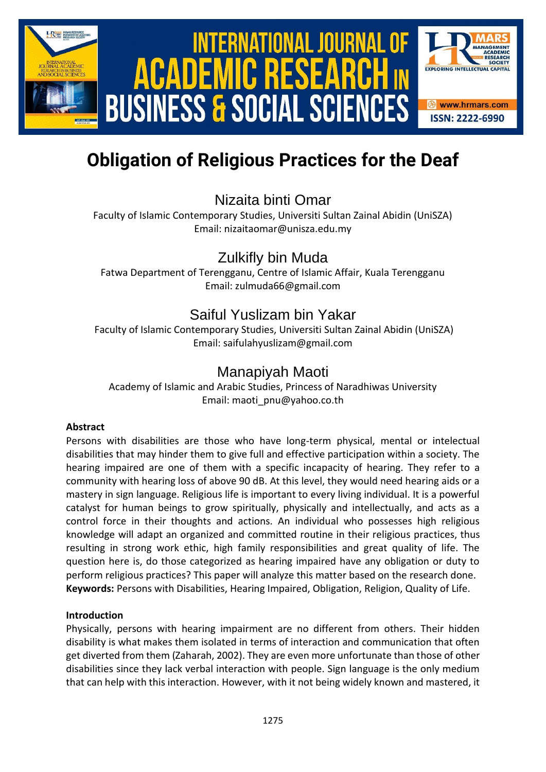

# International Journal of Academic Research in Business and Social Sciences **Vol. 1 1 , No. 4, 2021, E-ISSN: 2222-6990 © 2021 HRMARS** ACADEMIC **BUSINESS & SOCIAL SCIEN**

SOCIETY

**EXPLORING INTELLECTUAL CA** 

**<sup>❸</sup>** www.hrmars.com **ISSN: 2222-6990** 

# **Obligation of Religious Practices for the Deaf**

# Nizaita binti Omar

Faculty of Islamic Contemporary Studies, Universiti Sultan Zainal Abidin (UniSZA) Email: nizaitaomar@unisza.edu.my

# Zulkifly bin Muda

Fatwa Department of Terengganu, Centre of Islamic Affair, Kuala Terengganu Email: zulmuda66@gmail.com

# Saiful Yuslizam bin Yakar

Faculty of Islamic Contemporary Studies, Universiti Sultan Zainal Abidin (UniSZA) Email: saifulahyuslizam@gmail.com

# Manapiyah Maoti

Academy of Islamic and Arabic Studies, Princess of Naradhiwas University Email: maoti pnu@yahoo.co.th

# **Abstract**

Persons with disabilities are those who have long-term physical, mental or intelectual disabilities that may hinder them to give full and effective participation within a society. The hearing impaired are one of them with a specific incapacity of hearing. They refer to a community with hearing loss of above 90 dB. At this level, they would need hearing aids or a mastery in sign language. Religious life is important to every living individual. It is a powerful catalyst for human beings to grow spiritually, physically and intellectually, and acts as a control force in their thoughts and actions. An individual who possesses high religious knowledge will adapt an organized and committed routine in their religious practices, thus resulting in strong work ethic, high family responsibilities and great quality of life. The question here is, do those categorized as hearing impaired have any obligation or duty to perform religious practices? This paper will analyze this matter based on the research done. **Keywords:** Persons with Disabilities, Hearing Impaired, Obligation, Religion, Quality of Life.

# **Introduction**

Physically, persons with hearing impairment are no different from others. Their hidden disability is what makes them isolated in terms of interaction and communication that often get diverted from them (Zaharah, 2002). They are even more unfortunate than those of other disabilities since they lack verbal interaction with people. Sign language is the only medium that can help with this interaction. However, with it not being widely known and mastered, it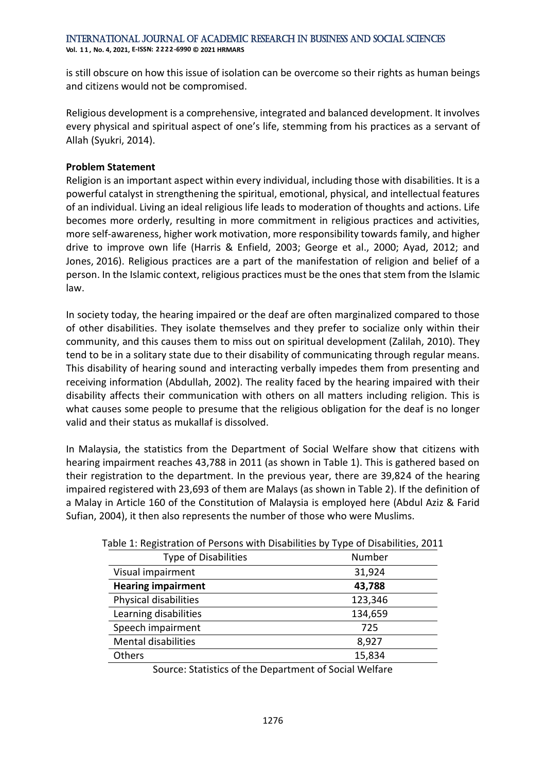**Vol. 1 1 , No. 4, 2021, E-ISSN: 2222-6990 © 2021 HRMARS**

is still obscure on how this issue of isolation can be overcome so their rights as human beings and citizens would not be compromised.

Religious development is a comprehensive, integrated and balanced development. It involves every physical and spiritual aspect of one's life, stemming from his practices as a servant of Allah (Syukri, 2014).

### **Problem Statement**

Religion is an important aspect within every individual, including those with disabilities. It is a powerful catalyst in strengthening the spiritual, emotional, physical, and intellectual features of an individual. Living an ideal religious life leads to moderation of thoughts and actions. Life becomes more orderly, resulting in more commitment in religious practices and activities, more self-awareness, higher work motivation, more responsibility towards family, and higher drive to improve own life (Harris & Enfield, 2003; George et al., 2000; Ayad, 2012; and Jones, 2016). Religious practices are a part of the manifestation of religion and belief of a person. In the Islamic context, religious practices must be the ones that stem from the Islamic law.

In society today, the hearing impaired or the deaf are often marginalized compared to those of other disabilities. They isolate themselves and they prefer to socialize only within their community, and this causes them to miss out on spiritual development (Zalilah, 2010). They tend to be in a solitary state due to their disability of communicating through regular means. This disability of hearing sound and interacting verbally impedes them from presenting and receiving information (Abdullah, 2002). The reality faced by the hearing impaired with their disability affects their communication with others on all matters including religion. This is what causes some people to presume that the religious obligation for the deaf is no longer valid and their status as mukallaf is dissolved.

In Malaysia, the statistics from the Department of Social Welfare show that citizens with hearing impairment reaches 43,788 in 2011 (as shown in Table 1). This is gathered based on their registration to the department. In the previous year, there are 39,824 of the hearing impaired registered with 23,693 of them are Malays (as shown in Table 2). If the definition of a Malay in Article 160 of the Constitution of Malaysia is employed here (Abdul Aziz & Farid Sufian, 2004), it then also represents the number of those who were Muslims.

| able 1. Registration of Persons with Disabilities by Type or Disabilities, 2011 |         |  |  |  |  |  |
|---------------------------------------------------------------------------------|---------|--|--|--|--|--|
| <b>Type of Disabilities</b>                                                     | Number  |  |  |  |  |  |
| Visual impairment                                                               | 31,924  |  |  |  |  |  |
| <b>Hearing impairment</b>                                                       | 43,788  |  |  |  |  |  |
| Physical disabilities                                                           | 123,346 |  |  |  |  |  |
| Learning disabilities                                                           | 134,659 |  |  |  |  |  |
| Speech impairment                                                               | 725     |  |  |  |  |  |
| <b>Mental disabilities</b>                                                      | 8,927   |  |  |  |  |  |
| Others                                                                          | 15,834  |  |  |  |  |  |
|                                                                                 |         |  |  |  |  |  |

Table 1: Registration of Persons with Disabilities by Type of Disabilities, 2011

Source: Statistics of the Department of Social Welfare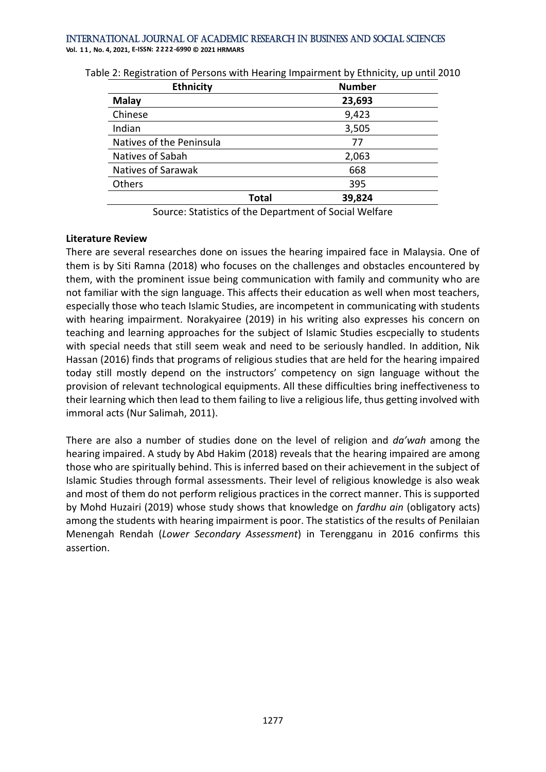#### International Journal of Academic Research in Business and Social Sciences **Vol. 1 1 , No. 4, 2021, E-ISSN: 2222-6990 © 2021 HRMARS**

| <b>Ethnicity</b>         |              | <b>Number</b> |  |  |  |  |  |
|--------------------------|--------------|---------------|--|--|--|--|--|
| <b>Malay</b>             |              | 23,693        |  |  |  |  |  |
| Chinese                  |              | 9,423         |  |  |  |  |  |
| Indian                   |              | 3,505         |  |  |  |  |  |
| Natives of the Peninsula |              | 77            |  |  |  |  |  |
| Natives of Sabah         |              | 2,063         |  |  |  |  |  |
| Natives of Sarawak       |              | 668           |  |  |  |  |  |
| Others                   |              | 395           |  |  |  |  |  |
|                          | <b>Total</b> | 39,824        |  |  |  |  |  |

Table 2: Registration of Persons with Hearing Impairment by Ethnicity, up until 2010

Source: Statistics of the Department of Social Welfare

### **Literature Review**

There are several researches done on issues the hearing impaired face in Malaysia. One of them is by Siti Ramna (2018) who focuses on the challenges and obstacles encountered by them, with the prominent issue being communication with family and community who are not familiar with the sign language. This affects their education as well when most teachers, especially those who teach Islamic Studies, are incompetent in communicating with students with hearing impairment. Norakyairee (2019) in his writing also expresses his concern on teaching and learning approaches for the subject of Islamic Studies escpecially to students with special needs that still seem weak and need to be seriously handled. In addition, Nik Hassan (2016) finds that programs of religious studies that are held for the hearing impaired today still mostly depend on the instructors' competency on sign language without the provision of relevant technological equipments. All these difficulties bring ineffectiveness to their learning which then lead to them failing to live a religious life, thus getting involved with immoral acts (Nur Salimah, 2011).

There are also a number of studies done on the level of religion and *da'wah* among the hearing impaired. A study by Abd Hakim (2018) reveals that the hearing impaired are among those who are spiritually behind. This is inferred based on their achievement in the subject of Islamic Studies through formal assessments. Their level of religious knowledge is also weak and most of them do not perform religious practices in the correct manner. This is supported by Mohd Huzairi (2019) whose study shows that knowledge on *fardhu ain* (obligatory acts) among the students with hearing impairment is poor. The statistics of the results of Penilaian Menengah Rendah (*Lower Secondary Assessment*) in Terengganu in 2016 confirms this assertion.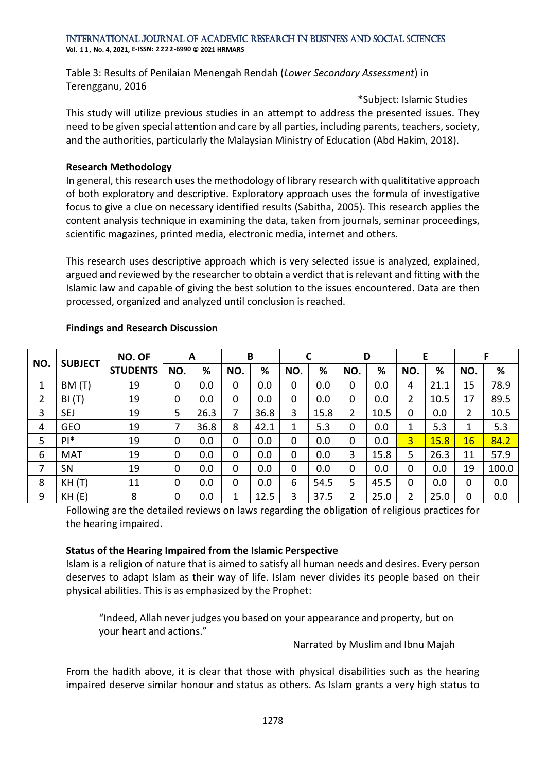**Vol. 1 1 , No. 4, 2021, E-ISSN: 2222-6990 © 2021 HRMARS**

Table 3: Results of Penilaian Menengah Rendah (*Lower Secondary Assessment*) in Terengganu, 2016

\*Subject: Islamic Studies This study will utilize previous studies in an attempt to address the presented issues. They need to be given special attention and care by all parties, including parents, teachers, society, and the authorities, particularly the Malaysian Ministry of Education (Abd Hakim, 2018).

## **Research Methodology**

In general, this research uses the methodology of library research with qualititative approach of both exploratory and descriptive. Exploratory approach uses the formula of investigative focus to give a clue on necessary identified results (Sabitha, 2005). This research applies the content analysis technique in examining the data, taken from journals, seminar proceedings, scientific magazines, printed media, electronic media, internet and others.

This research uses descriptive approach which is very selected issue is analyzed, explained, argued and reviewed by the researcher to obtain a verdict that is relevant and fitting with the Islamic law and capable of giving the best solution to the issues encountered. Data are then processed, organized and analyzed until conclusion is reached.

|     | <b>SUBJECT</b> | NO. OF<br><b>STUDENTS</b> | A   |      | B   |      |             |      | D   |      | Е              |      | F   |       |
|-----|----------------|---------------------------|-----|------|-----|------|-------------|------|-----|------|----------------|------|-----|-------|
| NO. |                |                           | NO. | %    | NO. | %    | NO.         | %    | NO. | %    | NO.            | %    | NO. | %     |
| 1   | BM (T)         | 19                        | 0   | 0.0  | 0   | 0.0  | 0           | 0.0  | 0   | 0.0  | 4              | 21.1 | 15  | 78.9  |
| 2   | BI(T)          | 19                        | 0   | 0.0  | 0   | 0.0  | $\mathbf 0$ | 0.0  | 0   | 0.0  | 2              | 10.5 | 17  | 89.5  |
| 3   | SEJ            | 19                        | 5   | 26.3 | 7   | 36.8 | 3           | 15.8 | 2   | 10.5 | 0              | 0.0  | 2   | 10.5  |
| 4   | <b>GEO</b>     | 19                        |     | 36.8 | 8   | 42.1 | 1           | 5.3  | 0   | 0.0  | 1              | 5.3  |     | 5.3   |
| 5   | $PI^*$         | 19                        | 0   | 0.0  | 0   | 0.0  | $\mathbf 0$ | 0.0  | 0   | 0.0  | $\overline{3}$ | 15.8 | 16  | 84.2  |
| 6   | <b>MAT</b>     | 19                        | 0   | 0.0  | 0   | 0.0  | 0           | 0.0  | 3   | 15.8 | 5              | 26.3 | 11  | 57.9  |
| 7   | SN             | 19                        | 0   | 0.0  | 0   | 0.0  | $\mathbf 0$ | 0.0  | 0   | 0.0  | 0              | 0.0  | 19  | 100.0 |
| 8   | KH(T)          | 11                        | 0   | 0.0  | 0   | 0.0  | 6           | 54.5 | 5   | 45.5 | 0              | 0.0  | 0   | 0.0   |
| 9   | KH(E)          | 8                         | 0   | 0.0  | 1   | 12.5 | 3           | 37.5 | 2   | 25.0 | 2              | 25.0 | 0   | 0.0   |

## **Findings and Research Discussion**

Following are the detailed reviews on laws regarding the obligation of religious practices for the hearing impaired.

# **Status of the Hearing Impaired from the Islamic Perspective**

Islam is a religion of nature that is aimed to satisfy all human needs and desires. Every person deserves to adapt Islam as their way of life. Islam never divides its people based on their physical abilities. This is as emphasized by the Prophet:

"Indeed, Allah never judges you based on your appearance and property, but on your heart and actions."

Narrated by Muslim and Ibnu Majah

From the hadith above, it is clear that those with physical disabilities such as the hearing impaired deserve similar honour and status as others. As Islam grants a very high status to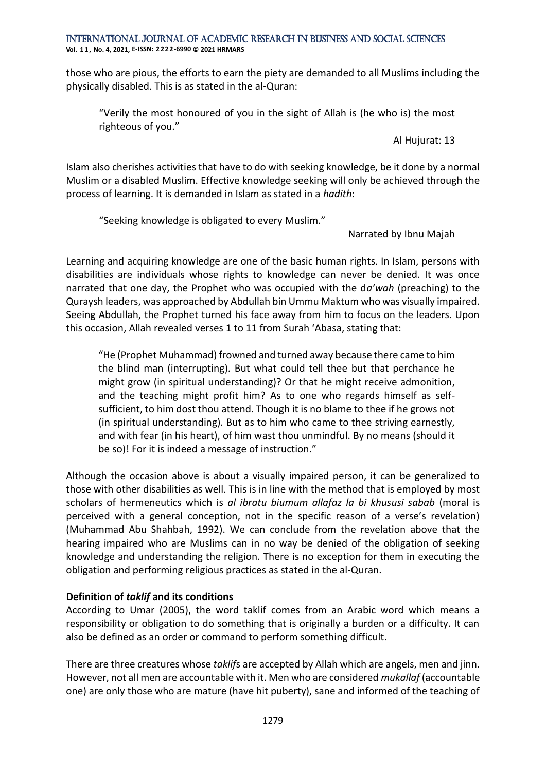**Vol. 1 1 , No. 4, 2021, E-ISSN: 2222-6990 © 2021 HRMARS**

those who are pious, the efforts to earn the piety are demanded to all Muslims including the physically disabled. This is as stated in the al-Quran:

"Verily the most honoured of you in the sight of Allah is (he who is) the most righteous of you."

Al Hujurat: 13

Islam also cherishes activities that have to do with seeking knowledge, be it done by a normal Muslim or a disabled Muslim. Effective knowledge seeking will only be achieved through the process of learning. It is demanded in Islam as stated in a *hadith*:

"Seeking knowledge is obligated to every Muslim."

Narrated by Ibnu Majah

Learning and acquiring knowledge are one of the basic human rights. In Islam, persons with disabilities are individuals whose rights to knowledge can never be denied. It was once narrated that one day, the Prophet who was occupied with the d*a'wah* (preaching) to the Quraysh leaders, was approached by Abdullah bin Ummu Maktum who was visually impaired. Seeing Abdullah, the Prophet turned his face away from him to focus on the leaders. Upon this occasion, Allah revealed verses 1 to 11 from Surah 'Abasa, stating that:

"He (Prophet Muhammad) frowned and turned away because there came to him the blind man (interrupting). But what could tell thee but that perchance he might grow (in spiritual understanding)? Or that he might receive admonition, and the teaching might profit him? As to one who regards himself as selfsufficient, to him dost thou attend. Though it is no blame to thee if he grows not (in spiritual understanding). But as to him who came to thee striving earnestly, and with fear (in his heart), of him wast thou unmindful. By no means (should it be so)! For it is indeed a message of instruction."

Although the occasion above is about a visually impaired person, it can be generalized to those with other disabilities as well. This is in line with the method that is employed by most scholars of hermeneutics which is *al ibratu biumum allafaz la bi khususi sabab* (moral is perceived with a general conception, not in the specific reason of a verse's revelation) (Muhammad Abu Shahbah, 1992). We can conclude from the revelation above that the hearing impaired who are Muslims can in no way be denied of the obligation of seeking knowledge and understanding the religion. There is no exception for them in executing the obligation and performing religious practices as stated in the al-Quran.

# **Definition of** *taklif* **and its conditions**

According to Umar (2005), the word taklif comes from an Arabic word which means a responsibility or obligation to do something that is originally a burden or a difficulty. It can also be defined as an order or command to perform something difficult.

There are three creatures whose *taklif*s are accepted by Allah which are angels, men and jinn. However, not all men are accountable with it. Men who are considered *mukallaf* (accountable one) are only those who are mature (have hit puberty), sane and informed of the teaching of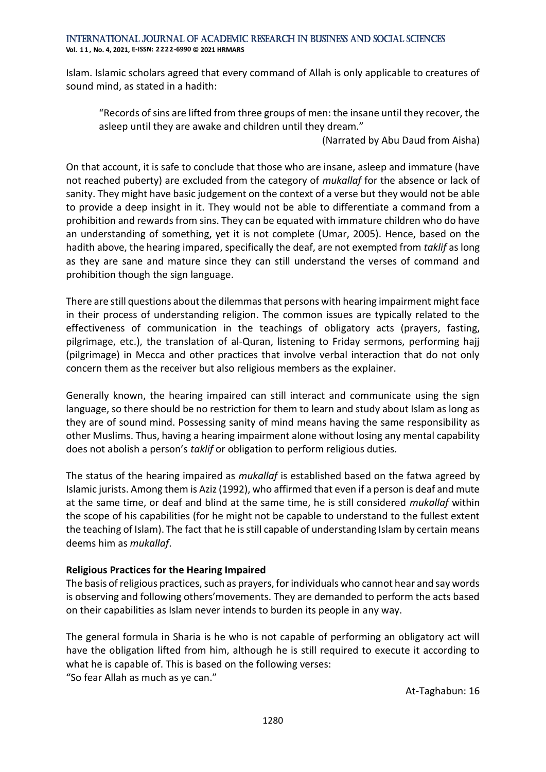**Vol. 1 1 , No. 4, 2021, E-ISSN: 2222-6990 © 2021 HRMARS**

Islam. Islamic scholars agreed that every command of Allah is only applicable to creatures of sound mind, as stated in a hadith:

"Records of sins are lifted from three groups of men: the insane until they recover, the asleep until they are awake and children until they dream."

(Narrated by Abu Daud from Aisha)

On that account, it is safe to conclude that those who are insane, asleep and immature (have not reached puberty) are excluded from the category of *mukallaf* for the absence or lack of sanity. They might have basic judgement on the context of a verse but they would not be able to provide a deep insight in it. They would not be able to differentiate a command from a prohibition and rewards from sins. They can be equated with immature children who do have an understanding of something, yet it is not complete (Umar, 2005). Hence, based on the hadith above, the hearing impared, specifically the deaf, are not exempted from *taklif* as long as they are sane and mature since they can still understand the verses of command and prohibition though the sign language.

There are still questions about the dilemmas that persons with hearing impairment might face in their process of understanding religion. The common issues are typically related to the effectiveness of communication in the teachings of obligatory acts (prayers, fasting, pilgrimage, etc.), the translation of al-Quran, listening to Friday sermons, performing hajj (pilgrimage) in Mecca and other practices that involve verbal interaction that do not only concern them as the receiver but also religious members as the explainer.

Generally known, the hearing impaired can still interact and communicate using the sign language, so there should be no restriction for them to learn and study about Islam as long as they are of sound mind. Possessing sanity of mind means having the same responsibility as other Muslims. Thus, having a hearing impairment alone without losing any mental capability does not abolish a person's *taklif* or obligation to perform religious duties.

The status of the hearing impaired as *mukallaf* is established based on the fatwa agreed by Islamic jurists. Among them is Aziz (1992), who affirmed that even if a person is deaf and mute at the same time, or deaf and blind at the same time, he is still considered *mukallaf* within the scope of his capabilities (for he might not be capable to understand to the fullest extent the teaching of Islam). The fact that he is still capable of understanding Islam by certain means deems him as *mukallaf*.

# **Religious Practices for the Hearing Impaired**

The basis of religious practices, such as prayers, for individuals who cannot hear and say words is observing and following others'movements. They are demanded to perform the acts based on their capabilities as Islam never intends to burden its people in any way.

The general formula in Sharia is he who is not capable of performing an obligatory act will have the obligation lifted from him, although he is still required to execute it according to what he is capable of. This is based on the following verses: "So fear Allah as much as ye can."

At-Taghabun: 16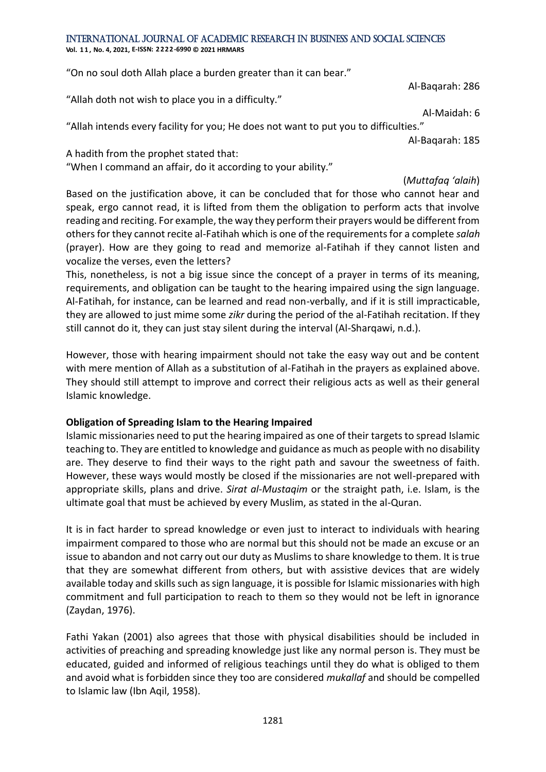**Vol. 1 1 , No. 4, 2021, E-ISSN: 2222-6990 © 2021 HRMARS**

"On no soul doth Allah place a burden greater than it can bear."

Al-Baqarah: 286

"Allah doth not wish to place you in a difficulty."

Al-Maidah: 6

"Allah intends every facility for you; He does not want to put you to difficulties."

Al-Baqarah: 185

A hadith from the prophet stated that:

"When I command an affair, do it according to your ability."

(*Muttafaq 'alaih*)

Based on the justification above, it can be concluded that for those who cannot hear and speak, ergo cannot read, it is lifted from them the obligation to perform acts that involve reading and reciting. For example, the way they perform their prayers would be different from others for they cannot recite al-Fatihah which is one of the requirements for a complete *salah* (prayer). How are they going to read and memorize al-Fatihah if they cannot listen and vocalize the verses, even the letters?

This, nonetheless, is not a big issue since the concept of a prayer in terms of its meaning, requirements, and obligation can be taught to the hearing impaired using the sign language. Al-Fatihah, for instance, can be learned and read non-verbally, and if it is still impracticable, they are allowed to just mime some *zikr* during the period of the al-Fatihah recitation. If they still cannot do it, they can just stay silent during the interval (Al-Sharqawi, n.d.).

However, those with hearing impairment should not take the easy way out and be content with mere mention of Allah as a substitution of al-Fatihah in the prayers as explained above. They should still attempt to improve and correct their religious acts as well as their general Islamic knowledge.

# **Obligation of Spreading Islam to the Hearing Impaired**

Islamic missionaries need to put the hearing impaired as one of their targets to spread Islamic teaching to. They are entitled to knowledge and guidance as much as people with no disability are. They deserve to find their ways to the right path and savour the sweetness of faith. However, these ways would mostly be closed if the missionaries are not well-prepared with appropriate skills, plans and drive. *Sirat al-Mustaqim* or the straight path, i.e. Islam, is the ultimate goal that must be achieved by every Muslim, as stated in the al-Quran.

It is in fact harder to spread knowledge or even just to interact to individuals with hearing impairment compared to those who are normal but this should not be made an excuse or an issue to abandon and not carry out our duty as Muslims to share knowledge to them. It is true that they are somewhat different from others, but with assistive devices that are widely available today and skills such as sign language, it is possible for Islamic missionaries with high commitment and full participation to reach to them so they would not be left in ignorance (Zaydan, 1976).

Fathi Yakan (2001) also agrees that those with physical disabilities should be included in activities of preaching and spreading knowledge just like any normal person is. They must be educated, guided and informed of religious teachings until they do what is obliged to them and avoid what is forbidden since they too are considered *mukallaf* and should be compelled to Islamic law (Ibn Aqil, 1958).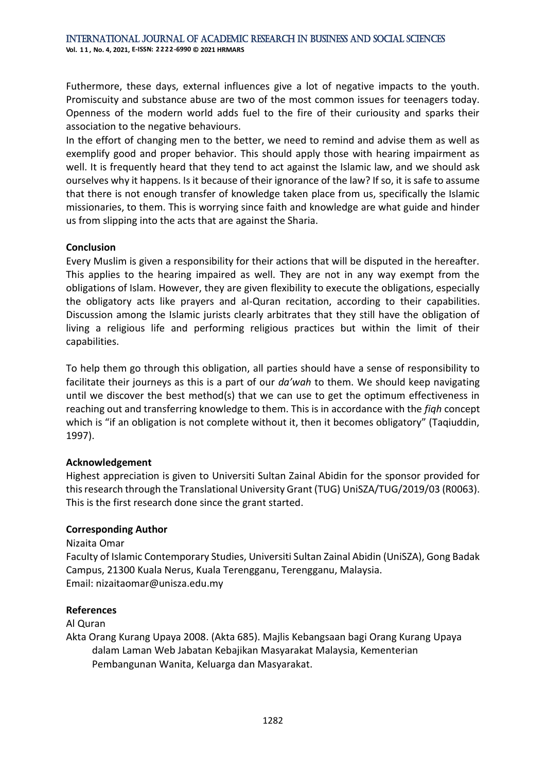Futhermore, these days, external influences give a lot of negative impacts to the youth. Promiscuity and substance abuse are two of the most common issues for teenagers today. Openness of the modern world adds fuel to the fire of their curiousity and sparks their association to the negative behaviours.

In the effort of changing men to the better, we need to remind and advise them as well as exemplify good and proper behavior. This should apply those with hearing impairment as well. It is frequently heard that they tend to act against the Islamic law, and we should ask ourselves why it happens. Is it because of their ignorance of the law? If so, it is safe to assume that there is not enough transfer of knowledge taken place from us, specifically the Islamic missionaries, to them. This is worrying since faith and knowledge are what guide and hinder us from slipping into the acts that are against the Sharia.

## **Conclusion**

Every Muslim is given a responsibility for their actions that will be disputed in the hereafter. This applies to the hearing impaired as well. They are not in any way exempt from the obligations of Islam. However, they are given flexibility to execute the obligations, especially the obligatory acts like prayers and al-Quran recitation, according to their capabilities. Discussion among the Islamic jurists clearly arbitrates that they still have the obligation of living a religious life and performing religious practices but within the limit of their capabilities.

To help them go through this obligation, all parties should have a sense of responsibility to facilitate their journeys as this is a part of our *da'wah* to them. We should keep navigating until we discover the best method(s) that we can use to get the optimum effectiveness in reaching out and transferring knowledge to them. This is in accordance with the *fiqh* concept which is "if an obligation is not complete without it, then it becomes obligatory" (Taqiuddin, 1997).

### **Acknowledgement**

Highest appreciation is given to Universiti Sultan Zainal Abidin for the sponsor provided for this research through the Translational University Grant (TUG) UniSZA/TUG/2019/03 (R0063). This is the first research done since the grant started.

### **Corresponding Author**

Nizaita Omar

Faculty of Islamic Contemporary Studies, Universiti Sultan Zainal Abidin (UniSZA), Gong Badak Campus, 21300 Kuala Nerus, Kuala Terengganu, Terengganu, Malaysia. Email: nizaitaomar@unisza.edu.my

### **References**

Al Quran

Akta Orang Kurang Upaya 2008. (Akta 685). Majlis Kebangsaan bagi Orang Kurang Upaya dalam Laman Web Jabatan Kebajikan Masyarakat Malaysia, Kementerian Pembangunan Wanita, Keluarga dan Masyarakat.